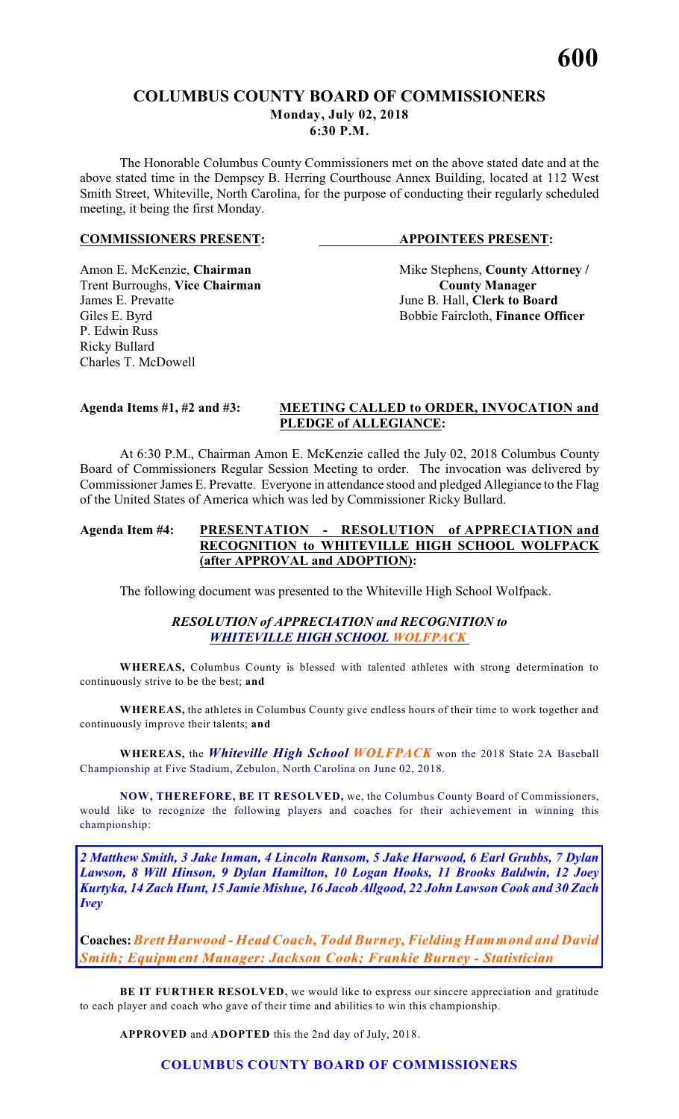# **COLUMBUS COUNTY BOARD OF COMMISSIONERS Monday, July 02, 2018 6:30 P.M.**

The Honorable Columbus County Commissioners met on the above stated date and at the above stated time in the Dempsey B. Herring Courthouse Annex Building, located at 112 West Smith Street, Whiteville, North Carolina, for the purpose of conducting their regularly scheduled meeting, it being the first Monday.

# **COMMISSIONERS PRESENT: APPOINTEES PRESENT:**

**Trent Burroughs, Vice Chairman**<br>James E. Prevatte P. Edwin Russ Ricky Bullard Charles T. McDowell

Amon E. McKenzie, **Chairman** Mike Stephens, **County Attorney** / **Trent Burroughs, Vice Chairman County Manager** June B. Hall, **Clerk to Board** Giles E. Byrd Bobbie Faircloth, **Finance Officer** 

# **Agenda Items #1, #2 and #3: MEETING CALLED to ORDER, INVOCATION and PLEDGE of ALLEGIANCE:**

At 6:30 P.M., Chairman Amon E. McKenzie called the July 02, 2018 Columbus County Board of Commissioners Regular Session Meeting to order. The invocation was delivered by Commissioner James E. Prevatte. Everyone in attendance stood and pledged Allegiance to the Flag of the United States of America which was led by Commissioner Ricky Bullard.

# **Agenda Item #4: PRESENTATION - RESOLUTION of APPRECIATION and RECOGNITION to WHITEVILLE HIGH SCHOOL WOLFPACK (after APPROVAL and ADOPTION):**

The following document was presented to the Whiteville High School Wolfpack.

# *RESOLUTION of APPRECIATION and RECOGNITION to WHITEVILLE HIGH SCHOOL WOLFPACK*

**WHEREAS,** Columbus County is blessed with talented athletes with strong determination to continuously strive to be the best; **and**

**WHEREAS,** the athletes in Columbus County give endless hours of their time to work together and continuously improve their talents; **and**

**WHEREAS,** the *Whiteville High School WOLFPACK* won the 2018 State 2A Baseball Championship at Five Stadium, Zebulon, North Carolina on June 02, 2018.

**NOW, THEREFORE, BE IT RESOLVED,** we, the Columbus County Board of Commissioners, would like to recognize the following players and coaches for their achievement in winning this championship:

*2 Matthew Smith, 3 Jake Inman, 4 Lincoln Ransom, 5 Jake Harwood, 6 Earl Grubbs, 7 Dylan Lawson, 8 Will Hinson, 9 Dylan Hamilton, 10 Logan Hooks, 11 Brooks Baldwin, 12 Joey Kurtyka, 14 Zach Hunt, 15 Jamie Mishue, 16 Jacob Allgood, 22 John Lawson Cook and 30 Zach Ivey*

**Coaches:***Brett Harwood - Head Coach, Todd Burney, Fielding Hammond and David Smith; Equipment Manager: Jackson Cook; Frankie Burney - Statistician*

BE IT FURTHER RESOLVED, we would like to express our sincere appreciation and gratitude to each player and coach who gave of their time and abilities to win this championship.

**APPROVED** and **ADOPTED** this the 2nd day of July, 2018.

# **COLUMBUS COUNTY BOARD OF COMMISSIONERS**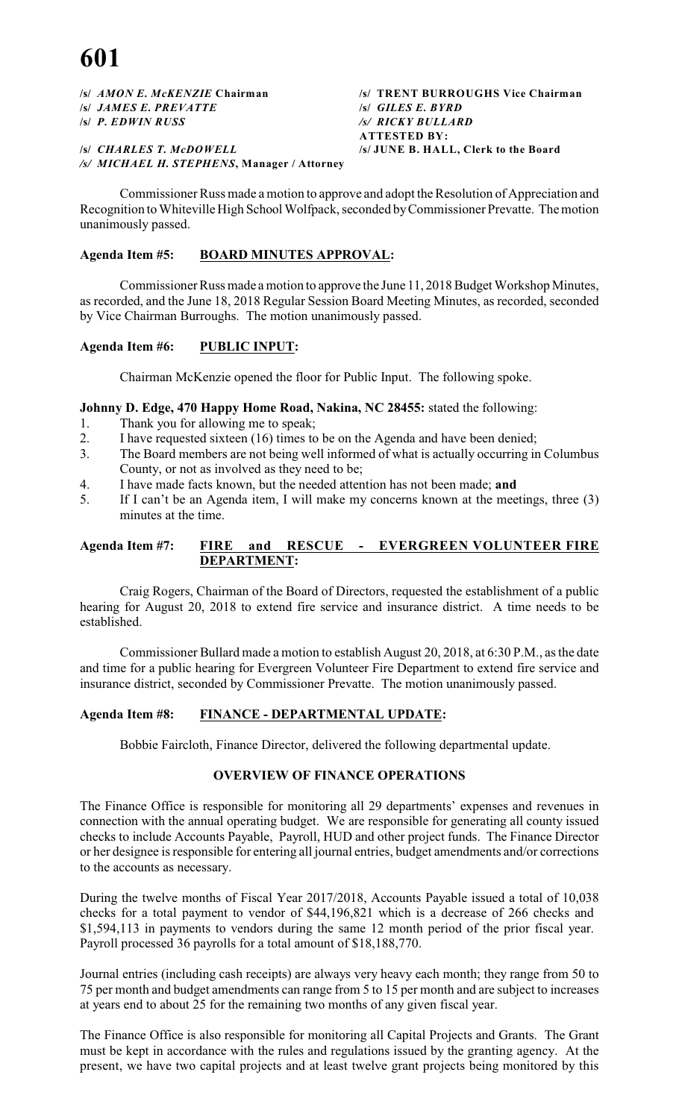**/s/** *JAMES E. PREVATTE* **/s/** *GILES E. BYRD* **/s/** *P. EDWIN RUSS /s/ RICKY BULLARD*

**/s/** *CHARLES T. McDOWELL* **/s/ JUNE B. HALL, Clerk to the Board** */s/ MICHAEL H. STEPHENS***, Manager / Attorney**

**/s/** *AMON E. McKENZIE* **Chairman /s/ TRENT BURROUGHS Vice Chairman ATTESTED BY:**

Commissioner Russ made a motion to approve and adopt the Resolution of Appreciation and Recognition to Whiteville High School Wolfpack, seconded by Commissioner Prevatte. The motion unanimously passed.

# **Agenda Item #5: BOARD MINUTES APPROVAL:**

Commissioner Russ made a motion to approve the June 11, 2018 Budget Workshop Minutes, as recorded, and the June 18, 2018 Regular Session Board Meeting Minutes, as recorded, seconded by Vice Chairman Burroughs. The motion unanimously passed.

# **Agenda Item #6: PUBLIC INPUT:**

Chairman McKenzie opened the floor for Public Input. The following spoke.

# **Johnny D. Edge, 470 Happy Home Road, Nakina, NC 28455:** stated the following:

- 1. Thank you for allowing me to speak;<br>2. I have requested sixteen (16) times to
- I have requested sixteen (16) times to be on the Agenda and have been denied;
- 3. The Board members are not being well informed of what is actually occurring in Columbus County, or not as involved as they need to be;
- 4. I have made facts known, but the needed attention has not been made; **and**
- 5. If I can't be an Agenda item, I will make my concerns known at the meetings, three (3) minutes at the time.

# **Agenda Item #7: FIRE and RESCUE - EVERGREEN VOLUNTEER FIRE DEPARTMENT:**

Craig Rogers, Chairman of the Board of Directors, requested the establishment of a public hearing for August 20, 2018 to extend fire service and insurance district. A time needs to be established.

Commissioner Bullard made a motion to establish August 20, 2018, at 6:30 P.M., as the date and time for a public hearing for Evergreen Volunteer Fire Department to extend fire service and insurance district, seconded by Commissioner Prevatte. The motion unanimously passed.

# **Agenda Item #8: FINANCE - DEPARTMENTAL UPDATE:**

Bobbie Faircloth, Finance Director, delivered the following departmental update.

# **OVERVIEW OF FINANCE OPERATIONS**

The Finance Office is responsible for monitoring all 29 departments' expenses and revenues in connection with the annual operating budget. We are responsible for generating all county issued checks to include Accounts Payable, Payroll, HUD and other project funds. The Finance Director or her designee is responsible for entering all journal entries, budget amendments and/or corrections to the accounts as necessary.

During the twelve months of Fiscal Year 2017/2018, Accounts Payable issued a total of 10,038 checks for a total payment to vendor of \$44,196,821 which is a decrease of 266 checks and \$1,594,113 in payments to vendors during the same 12 month period of the prior fiscal year. Payroll processed 36 payrolls for a total amount of \$18,188,770.

Journal entries (including cash receipts) are always very heavy each month; they range from 50 to 75 per month and budget amendments can range from 5 to 15 per month and are subject to increases at years end to about 25 for the remaining two months of any given fiscal year.

The Finance Office is also responsible for monitoring all Capital Projects and Grants. The Grant must be kept in accordance with the rules and regulations issued by the granting agency. At the present, we have two capital projects and at least twelve grant projects being monitored by this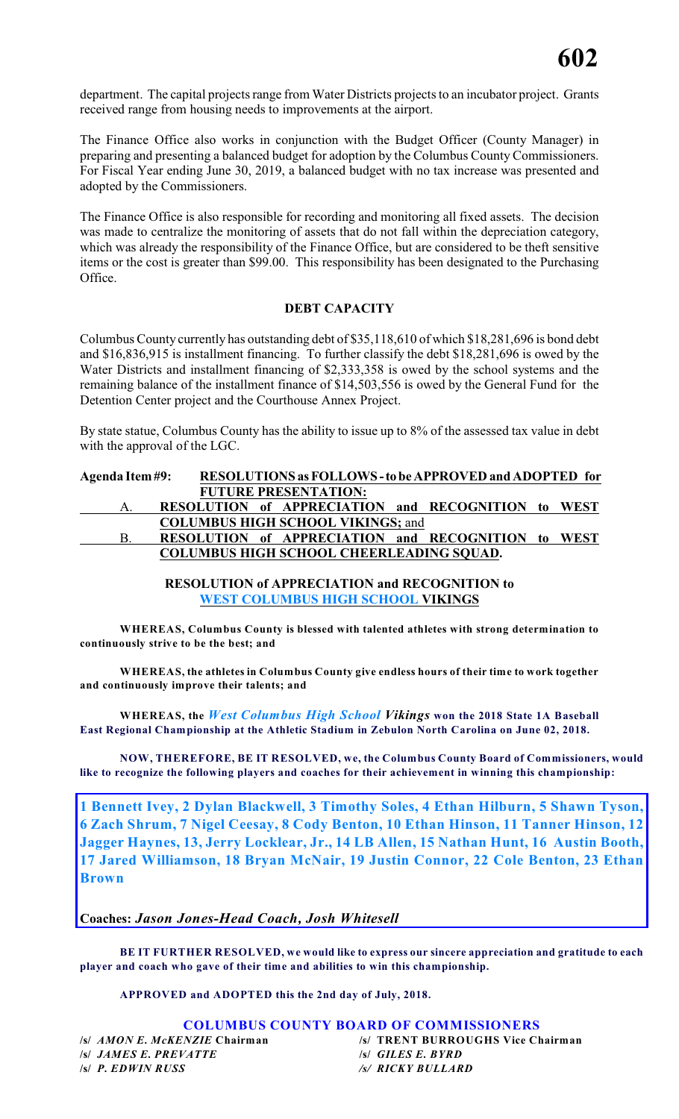department. The capital projects range from Water Districts projects to an incubator project. Grants received range from housing needs to improvements at the airport.

The Finance Office also works in conjunction with the Budget Officer (County Manager) in preparing and presenting a balanced budget for adoption by the Columbus County Commissioners. For Fiscal Year ending June 30, 2019, a balanced budget with no tax increase was presented and adopted by the Commissioners.

The Finance Office is also responsible for recording and monitoring all fixed assets. The decision was made to centralize the monitoring of assets that do not fall within the depreciation category, which was already the responsibility of the Finance Office, but are considered to be theft sensitive items or the cost is greater than \$99.00. This responsibility has been designated to the Purchasing Office.

# **DEBT CAPACITY**

Columbus County currently has outstanding debt of \$35,118,610 of which \$18,281,696 is bond debt and \$16,836,915 is installment financing. To further classify the debt \$18,281,696 is owed by the Water Districts and installment financing of \$2,333,358 is owed by the school systems and the remaining balance of the installment finance of \$14,503,556 is owed by the General Fund for the Detention Center project and the Courthouse Annex Project.

By state statue, Columbus County has the ability to issue up to 8% of the assessed tax value in debt with the approval of the LGC.

# **Agenda Item #9: RESOLUTIONS as FOLLOWS - to be APPROVED and ADOPTED for FUTURE PRESENTATION:** A. **RESOLUTION of APPRECIATION and RECOGNITION to WEST COLUMBUS HIGH SCHOOL VIKINGS;** and B. **RESOLUTION of APPRECIATION and RECOGNITION to WEST COLUMBUS HIGH SCHOOL CHEERLEADING SQUAD.**

**RESOLUTION of APPRECIATION and RECOGNITION to WEST COLUMBUS HIGH SCHOOL VIKINGS**

**WHEREAS, Columbus County is blessed with talented athletes with strong determination to continuously strive to be the best; and**

**WHEREAS, the athletes in Columbus County give endless hours of their time to work together and continuously improve their talents; and**

**WHEREAS, the** *West Columbus High School Vikings* **won the 2018 State 1A Baseball East Regional Championship at the Athletic Stadium in Zebulon North Carolina on June 02, 2018.**

**NOW, THEREFORE, BE IT RESOLVED, we, the Columbus County Board of Commissioners, would like to recognize the following players and coaches for their achievement in winning this championship:**

**1 Bennett Ivey, 2 Dylan Blackwell, 3 Timothy Soles, 4 Ethan Hilburn, 5 Shawn Tyson, 6 Zach Shrum, 7 Nigel Ceesay, 8 Cody Benton, 10 Ethan Hinson, 11 Tanner Hinson, 12 Jagger Haynes, 13, Jerry Locklear, Jr., 14 LB Allen, 15 Nathan Hunt, 16 Austin Booth, 17 Jared Williamson, 18 Bryan McNair, 19 Justin Connor, 22 Cole Benton, 23 Ethan Brown**

# **Coaches:** *Jason Jones-Head Coach, Josh Whitesell*

**BE IT FURTHER RESOLVED, we would like to express our sincere appreciation and gratitude to each player and coach who gave of their time and abilities to win this championship.**

**APPROVED and ADOPTED this the 2nd day of July, 2018.**

# **COLUMBUS COUNTY BOARD OF COMMISSIONERS**

**/s/** *JAMES E. PREVATTE* **/s/** *GILES E. BYRD* **/s/** *P. EDWIN RUSS /s/ RICKY BULLARD*

**/s/** *AMON E. McKENZIE* **Chairman /s/ TRENT BURROUGHS Vice Chairman**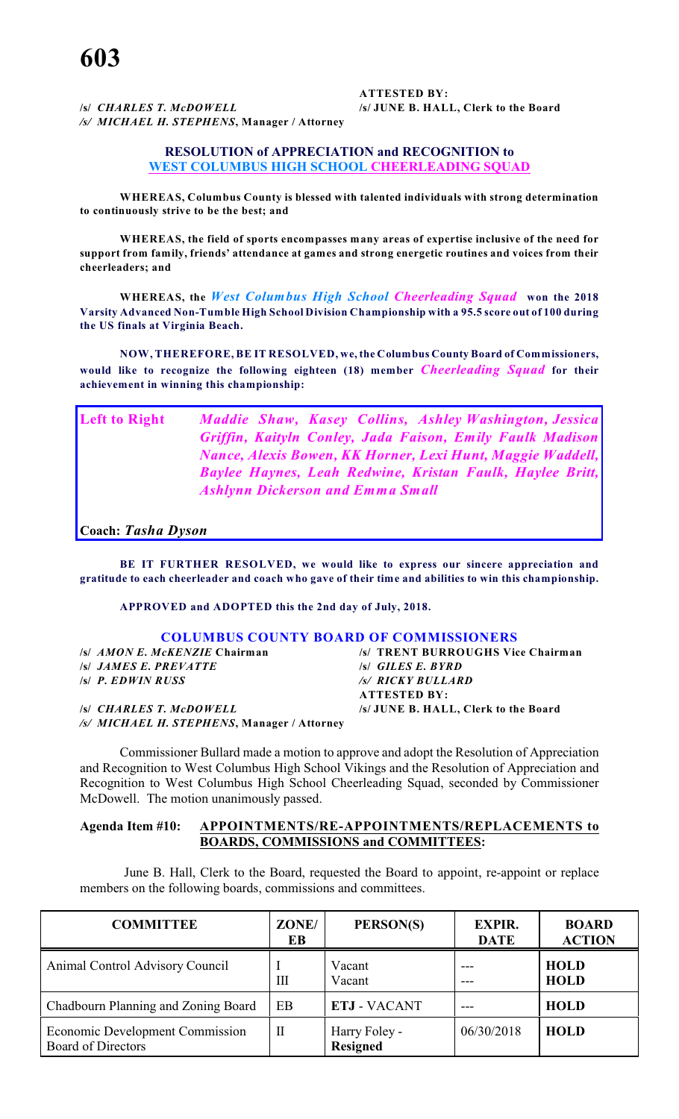**/s/** *CHARLES T. McDOWELL* **/s/ JUNE B. HALL, Clerk to the Board** */s/ MICHAEL H. STEPHENS***, Manager / Attorney**

**ATTESTED BY:**

#### **RESOLUTION of APPRECIATION and RECOGNITION to WEST COLUMBUS HIGH SCHOOL CHEERLEADING SQUAD**

**WHEREAS, Columbus County is blessed with talented individuals with strong determination to continuously strive to be the best; and**

**WHEREAS, the field of sports encompasses many areas of expertise inclusive of the need for support from family, friends' attendance at games and strong energetic routines and voices from their cheerleaders; and**

**WHEREAS, the** *West Columbus High School Cheerleading Squad* **won the 2018 Varsity Advanced Non-Tumble High School Division Championship with a 95.5 score out of 100 during the US finals at Virginia Beach.**

**NOW, THEREFORE, BE IT RESOLVED, we, the Columbus County Board of Commissioners, would like to recognize the following eighteen (18) member** *Cheerleading Squad* **for their achievement in winning this championship:**

**Left to Right** *Maddie Shaw, Kasey Collins, Ashley Washington, Jessica Griffin, Kaityln Conley, Jada Faison, Emily Faulk Madison Nance, Alexis Bowen, KK Horner, Lexi Hunt, Maggie Waddell, Baylee Haynes, Leah Redwine, Kristan Faulk, Haylee Britt, Ashlynn Dickerson and Emma Small*

**Coach:** *Tasha Dyson*

**BE IT FURTHER RESOLVED, we would like to express our sincere appreciation and gratitude to each cheerleader and coach who gave of their time and abilities to win this championship.**

**APPROVED and ADOPTED this the 2nd day of July, 2018.**

#### **COLUMBUS COUNTY BOARD OF COMMISSIONERS**

| /s/ <i>AMON E. McKENZIE</i> Chairman        | /s/ TRENT BURROUGHS Vice Chairman    |
|---------------------------------------------|--------------------------------------|
| <i>S JAMES E. PREVATTE</i>                  | $\mathcal{S}$ GILES E. BYRD          |
| $\mathsf{S}$ P. EDWIN RUSS                  | /s/ RICKY BULLARD                    |
|                                             | <b>ATTESTED BY:</b>                  |
| <b>SSI CHARLES T. McDOWELL</b>              | /s/ JUNE B. HALL, Clerk to the Board |
| /s/ MICHAEL H. STEPHENS, Manager / Attorney |                                      |

Commissioner Bullard made a motion to approve and adopt the Resolution of Appreciation and Recognition to West Columbus High School Vikings and the Resolution of Appreciation and Recognition to West Columbus High School Cheerleading Squad, seconded by Commissioner McDowell. The motion unanimously passed.

# **Agenda Item #10: APPOINTMENTS/RE-APPOINTMENTS/REPLACEMENTS to BOARDS, COMMISSIONS and COMMITTEES:**

 June B. Hall, Clerk to the Board, requested the Board to appoint, re-appoint or replace members on the following boards, commissions and committees.

| <b>COMMITTEE</b>                                                    | ZONE/<br>EB | PERSON(S)                        | <b>EXPIR.</b><br><b>DATE</b> | <b>BOARD</b><br><b>ACTION</b> |
|---------------------------------------------------------------------|-------------|----------------------------------|------------------------------|-------------------------------|
| Animal Control Advisory Council                                     | Ш           | Vacant<br>Vacant                 |                              | <b>HOLD</b><br><b>HOLD</b>    |
| Chadbourn Planning and Zoning Board                                 | EB          | <b>ETJ - VACANT</b>              |                              | <b>HOLD</b>                   |
| <b>Economic Development Commission</b><br><b>Board of Directors</b> | П           | Harry Foley -<br><b>Resigned</b> | 06/30/2018                   | <b>HOLD</b>                   |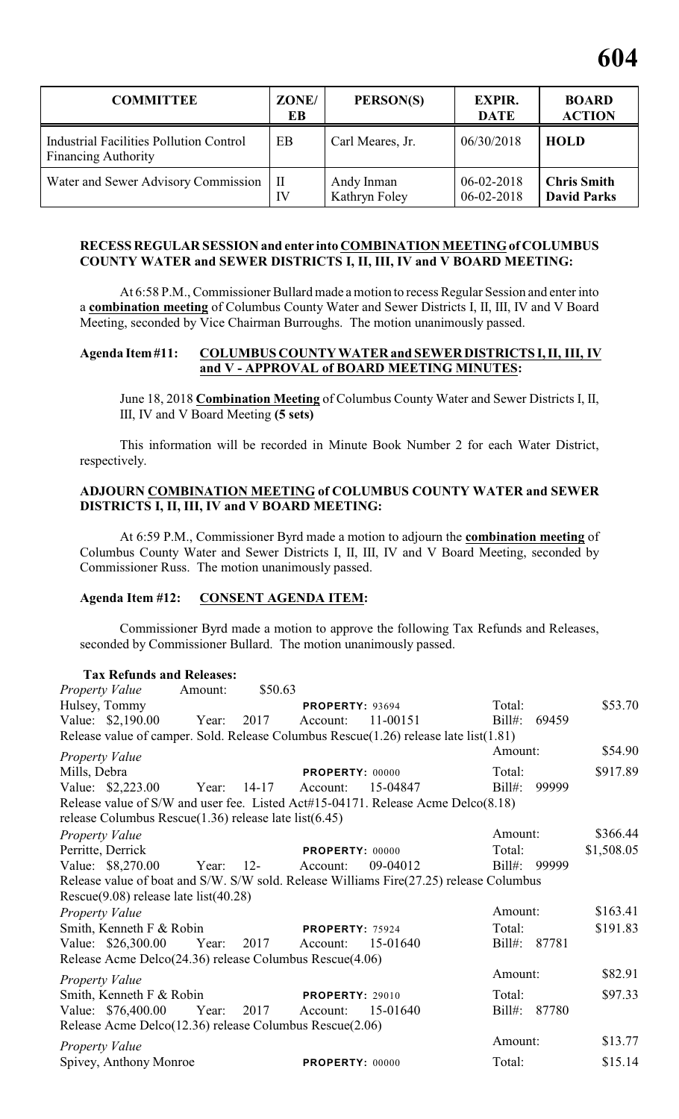| <b>COMMITTEE</b>                                                             | ZONE/<br>EB        | PERSON(S)                   | <b>EXPIR.</b><br><b>DATE</b>         | <b>BOARD</b><br><b>ACTION</b>            |
|------------------------------------------------------------------------------|--------------------|-----------------------------|--------------------------------------|------------------------------------------|
| <b>Industrial Facilities Pollution Control</b><br><b>Financing Authority</b> | EB                 | Carl Meares, Jr.            | 06/30/2018                           | <b>HOLD</b>                              |
| Water and Sewer Advisory Commission                                          | $\mathbf{I}$<br>IV | Andy Inman<br>Kathryn Foley | $06 - 02 - 2018$<br>$06 - 02 - 2018$ | <b>Chris Smith</b><br><b>David Parks</b> |

# **RECESS REGULAR SESSION and enter into COMBINATION MEETING of COLUMBUS COUNTY WATER and SEWER DISTRICTS I, II, III, IV and V BOARD MEETING:**

At 6:58 P.M., Commissioner Bullard made a motion to recess Regular Session and enter into a **combination meeting** of Columbus County Water and Sewer Districts I, II, III, IV and V Board Meeting, seconded by Vice Chairman Burroughs. The motion unanimously passed.

# **Agenda Item #11: COLUMBUS COUNTY WATER and SEWER DISTRICTS I, II, III, IV and V - APPROVAL of BOARD MEETING MINUTES:**

June 18, 2018 **Combination Meeting** of Columbus County Water and Sewer Districts I, II, III, IV and V Board Meeting **(5 sets)**

This information will be recorded in Minute Book Number 2 for each Water District, respectively.

# **ADJOURN COMBINATION MEETING of COLUMBUS COUNTY WATER and SEWER DISTRICTS I, II, III, IV and V BOARD MEETING:**

At 6:59 P.M., Commissioner Byrd made a motion to adjourn the **combination meeting** of Columbus County Water and Sewer Districts I, II, III, IV and V Board Meeting, seconded by Commissioner Russ. The motion unanimously passed.

# **Agenda Item #12: CONSENT AGENDA ITEM:**

Commissioner Byrd made a motion to approve the following Tax Refunds and Releases, seconded by Commissioner Bullard. The motion unanimously passed.

| <b>Tax Refunds and Releases:</b>                                                           |         |         |                        |          |           |              |            |
|--------------------------------------------------------------------------------------------|---------|---------|------------------------|----------|-----------|--------------|------------|
| <b>Property Value</b>                                                                      | Amount: | \$50.63 |                        |          |           |              |            |
| Hulsey, Tommy                                                                              |         |         | <b>PROPERTY: 93694</b> |          | Total:    |              | \$53.70    |
| Value: \$2,190.00                                                                          | Year:   | 2017    | Account:               | 11-00151 | Bill#:    | 69459        |            |
| Release value of camper. Sold. Release Columbus Rescue $(1.26)$ release late list $(1.81)$ |         |         |                        |          |           |              |            |
| <b>Property Value</b>                                                                      |         |         |                        |          | Amount:   |              | \$54.90    |
| Mills, Debra                                                                               |         |         | PROPERTY: 00000        |          | Total:    |              | \$917.89   |
| Value: \$2,223.00 Year: 14-17                                                              |         |         | Account:               | 15-04847 | $Bill#$ : | 99999        |            |
| Release value of S/W and user fee. Listed Act#15-04171. Release Acme Delco(8.18)           |         |         |                        |          |           |              |            |
| release Columbus Rescue $(1.36)$ release late list $(6.45)$                                |         |         |                        |          |           |              |            |
| <b>Property Value</b>                                                                      |         |         |                        |          | Amount:   |              | \$366.44   |
| Perritte, Derrick                                                                          |         |         | PROPERTY: 00000        |          | Total:    |              | \$1,508.05 |
| Value: \$8,270.00                                                                          | Year:   | $12-$   | Account:               | 09-04012 |           | Bill#: 99999 |            |
| Release value of boat and S/W. S/W sold. Release Williams Fire(27.25) release Columbus     |         |         |                        |          |           |              |            |
| Rescue $(9.08)$ release late list $(40.28)$                                                |         |         |                        |          |           |              |            |
| <b>Property Value</b>                                                                      |         |         |                        |          | Amount:   |              | \$163.41   |
| Smith, Kenneth F & Robin                                                                   |         |         | PROPERTY: 75924        |          | Total:    |              | \$191.83   |
| Value: \$26,300.00                                                                         | Year:   | 2017    | Account:               | 15-01640 | $Bill#$ : | 87781        |            |
| Release Acme Delco(24.36) release Columbus Rescue(4.06)                                    |         |         |                        |          |           |              |            |
| <b>Property Value</b>                                                                      |         |         |                        |          | Amount:   |              | \$82.91    |
| Smith, Kenneth F & Robin                                                                   |         |         | <b>PROPERTY: 29010</b> |          | Total:    |              | \$97.33    |
| Value: \$76,400.00                                                                         | Year:   | 2017    | Account:               | 15-01640 |           | Bill#: 87780 |            |
| Release Acme Delco(12.36) release Columbus Rescue(2.06)                                    |         |         |                        |          |           |              |            |
| <b>Property Value</b>                                                                      |         |         |                        |          | Amount:   |              | \$13.77    |
| Spivey, Anthony Monroe                                                                     |         |         | <b>PROPERTY: 00000</b> |          | Total:    |              | \$15.14    |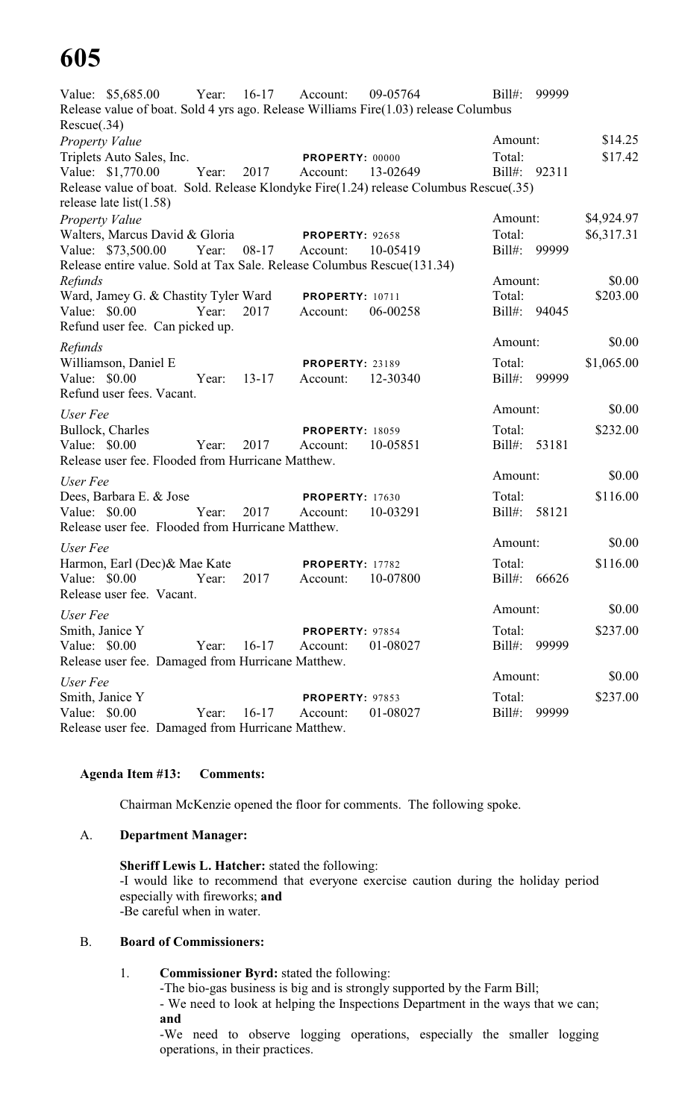# **605**

Value: \$5,685.00 Year: 16-17 Account: 09-05764 Bill#: 99999 Release value of boat. Sold 4 yrs ago. Release Williams Fire(1.03) release Columbus Rescue(.34) *Property Value* \$14.25 Triplets Auto Sales, Inc. **PROPERTY:** 00000 Total: \$17.42 Value: \$1,770.00 Year: 2017 Account: 13-02649 Bill#: 92311 Release value of boat. Sold. Release Klondyke Fire(1.24) release Columbus Rescue(.35) release late list(1.58) *Property Value* \$4,924.97 Walters, Marcus David & Gloria **PROPERTY**: 92658 Total: \$6,317.31 Value: \$73,500.00 Year: 08-17 Account: 10-05419 Bill#: 99999 Release entire value. Sold at Tax Sale. Release Columbus Rescue(131.34) *Refunds* \$0.00 Ward, Jamey G. & Chastity Tyler Ward **PROPERTY**: 10711 Total: \$203.00 Value: \$0.00 Year: 2017 Account: 06-00258 Bill#: 94045 Refund user fee. Can picked up. *Refunds* Amount: \$0.00 Williamson, Daniel E **PROPERTY**: 23189 Total: \$1,065.00 Value: \$0.00 Year: 13-17 Account: 12-30340 Bill#: 99999 Refund user fees. Vacant. *User Fee* Amount: \$0.00 Bullock, Charles **PROPERTY:** 18059 Total: \$232.00 Value: \$0.00 Year: 2017 Account: 10-05851 Bill#: 53181 Release user fee. Flooded from Hurricane Matthew. *User Fee* Amount: \$0.00 Dees, Barbara E. & Jose **PROPERTY:** 17630 Total: \$116.00 Value: \$0.00 Year: 2017 Account: 10-03291 Bill#: 58121 Release user fee. Flooded from Hurricane Matthew. *User Fee* Amount:  $$0.00$ Harmon, Earl (Dec) & Mae Kate **PROPERTY**: 17782 Total: \$116.00 Value: \$0.00 Year: 2017 Account: 10-07800 Bill#: 66626 Release user fee. Vacant. *User Fee* Amount: \$0.00 Smith, Janice Y **PROPERTY:** 97854 Total: \$237.00 Value: \$0.00 Year: 16-17 Account: 01-08027 Bill#: 99999 Release user fee. Damaged from Hurricane Matthew. *User Fee* Amount: \$0.00 Smith, Janice Y **PROPERTY:** 97853 Total: \$237.00 Value: \$0.00 Year: 16-17 Account: 01-08027 Bill#: 99999 Release user fee. Damaged from Hurricane Matthew.

# **Agenda Item #13: Comments:**

Chairman McKenzie opened the floor for comments. The following spoke.

# A. **Department Manager:**

**Sheriff Lewis L. Hatcher:** stated the following: -I would like to recommend that everyone exercise caution during the holiday period especially with fireworks; **and** -Be careful when in water.

# B. **Board of Commissioners:**

# 1. **Commissioner Byrd:** stated the following:

-The bio-gas business is big and is strongly supported by the Farm Bill;

- We need to look at helping the Inspections Department in the ways that we can; **and**

-We need to observe logging operations, especially the smaller logging operations, in their practices.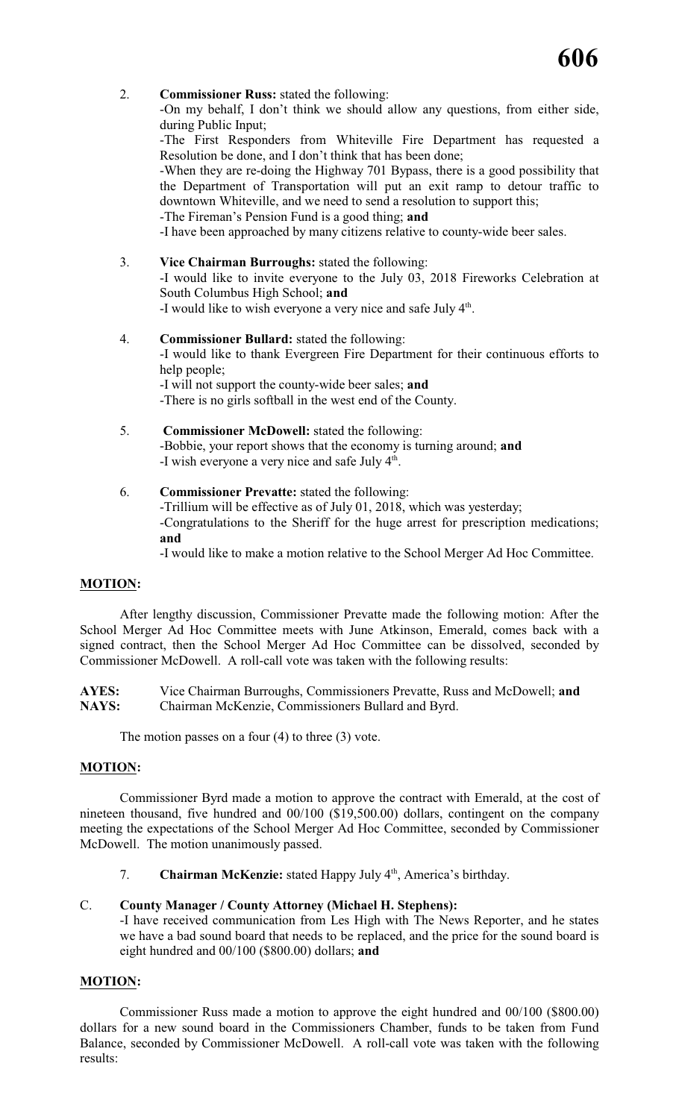2. **Commissioner Russ:** stated the following:

-On my behalf, I don't think we should allow any questions, from either side, during Public Input;

-The First Responders from Whiteville Fire Department has requested a Resolution be done, and I don't think that has been done;

-When they are re-doing the Highway 701 Bypass, there is a good possibility that the Department of Transportation will put an exit ramp to detour traffic to downtown Whiteville, and we need to send a resolution to support this;

-The Fireman's Pension Fund is a good thing; **and**

-I have been approached by many citizens relative to county-wide beer sales.

- 3. **Vice Chairman Burroughs:** stated the following: -I would like to invite everyone to the July 03, 2018 Fireworks Celebration at South Columbus High School; **and** -I would like to wish everyone a very nice and safe July  $4<sup>th</sup>$ .
- 4. **Commissioner Bullard:** stated the following: -I would like to thank Evergreen Fire Department for their continuous efforts to help people: -I will not support the county-wide beer sales; **and** -There is no girls softball in the west end of the County.
- 5. **Commissioner McDowell:** stated the following: -Bobbie, your report shows that the economy is turning around; **and** -I wish everyone a very nice and safe July 4<sup>th</sup>.

# 6. **Commissioner Prevatte:** stated the following: -Trillium will be effective as of July 01, 2018, which was yesterday; -Congratulations to the Sheriff for the huge arrest for prescription medications; **and**

-I would like to make a motion relative to the School Merger Ad Hoc Committee.

# **MOTION:**

After lengthy discussion, Commissioner Prevatte made the following motion: After the School Merger Ad Hoc Committee meets with June Atkinson, Emerald, comes back with a signed contract, then the School Merger Ad Hoc Committee can be dissolved, seconded by Commissioner McDowell. A roll-call vote was taken with the following results:

**AYES:** Vice Chairman Burroughs, Commissioners Prevatte, Russ and McDowell; **and NAYS:** Chairman McKenzie, Commissioners Bullard and Byrd.

The motion passes on a four (4) to three (3) vote.

# **MOTION:**

Commissioner Byrd made a motion to approve the contract with Emerald, at the cost of nineteen thousand, five hundred and 00/100 (\$19,500.00) dollars, contingent on the company meeting the expectations of the School Merger Ad Hoc Committee, seconded by Commissioner McDowell. The motion unanimously passed.

7. **Chairman McKenzie:** stated Happy July 4<sup>th</sup>, America's birthday.

# C. **County Manager / County Attorney (Michael H. Stephens):**

-I have received communication from Les High with The News Reporter, and he states we have a bad sound board that needs to be replaced, and the price for the sound board is eight hundred and 00/100 (\$800.00) dollars; **and**

# **MOTION:**

Commissioner Russ made a motion to approve the eight hundred and 00/100 (\$800.00) dollars for a new sound board in the Commissioners Chamber, funds to be taken from Fund Balance, seconded by Commissioner McDowell. A roll-call vote was taken with the following results: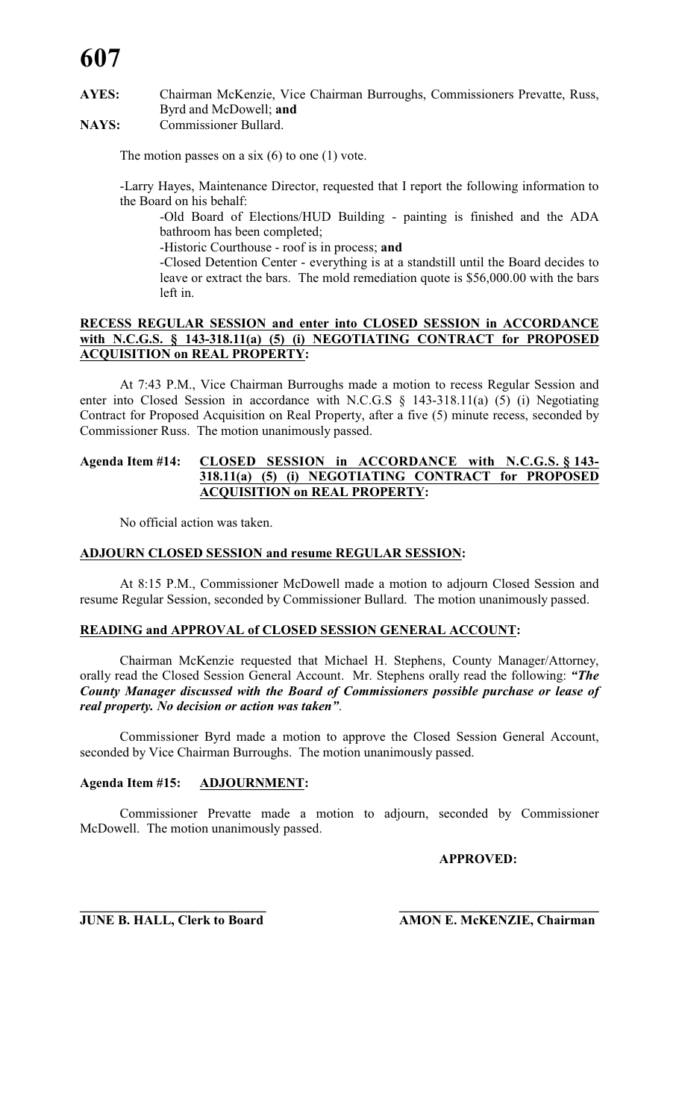# **AYES:** Chairman McKenzie, Vice Chairman Burroughs, Commissioners Prevatte, Russ, Byrd and McDowell; **and**

# **NAYS:** Commissioner Bullard.

The motion passes on a six  $(6)$  to one  $(1)$  vote.

-Larry Hayes, Maintenance Director, requested that I report the following information to the Board on his behalf:

-Old Board of Elections/HUD Building - painting is finished and the ADA bathroom has been completed;

-Historic Courthouse - roof is in process; **and**

-Closed Detention Center - everything is at a standstill until the Board decides to leave or extract the bars. The mold remediation quote is \$56,000.00 with the bars left in.

# **RECESS REGULAR SESSION and enter into CLOSED SESSION in ACCORDANCE with N.C.G.S. § 143-318.11(a) (5) (i) NEGOTIATING CONTRACT for PROPOSED ACQUISITION on REAL PROPERTY:**

At 7:43 P.M., Vice Chairman Burroughs made a motion to recess Regular Session and enter into Closed Session in accordance with N.C.G.S § 143-318.11(a) (5) (i) Negotiating Contract for Proposed Acquisition on Real Property, after a five (5) minute recess, seconded by Commissioner Russ. The motion unanimously passed.

# **Agenda Item #14: CLOSED SESSION in ACCORDANCE with N.C.G.S. § 143- 318.11(a) (5) (i) NEGOTIATING CONTRACT for PROPOSED ACQUISITION on REAL PROPERTY:**

No official action was taken.

# **ADJOURN CLOSED SESSION and resume REGULAR SESSION:**

At 8:15 P.M., Commissioner McDowell made a motion to adjourn Closed Session and resume Regular Session, seconded by Commissioner Bullard. The motion unanimously passed.

# **READING and APPROVAL of CLOSED SESSION GENERAL ACCOUNT:**

Chairman McKenzie requested that Michael H. Stephens, County Manager/Attorney, orally read the Closed Session General Account. Mr. Stephens orally read the following: *"The County Manager discussed with the Board of Commissioners possible purchase or lease of real property. No decision or action was taken"*.

Commissioner Byrd made a motion to approve the Closed Session General Account, seconded by Vice Chairman Burroughs. The motion unanimously passed.

# **Agenda Item #15: ADJOURNMENT:**

Commissioner Prevatte made a motion to adjourn, seconded by Commissioner McDowell. The motion unanimously passed.

**APPROVED:**

**\_\_\_\_\_\_\_\_\_\_\_\_\_\_\_\_\_\_\_\_\_\_\_\_\_\_\_\_ \_\_\_\_\_\_\_\_\_\_\_\_\_\_\_\_\_\_\_\_\_\_\_\_\_\_\_\_\_\_**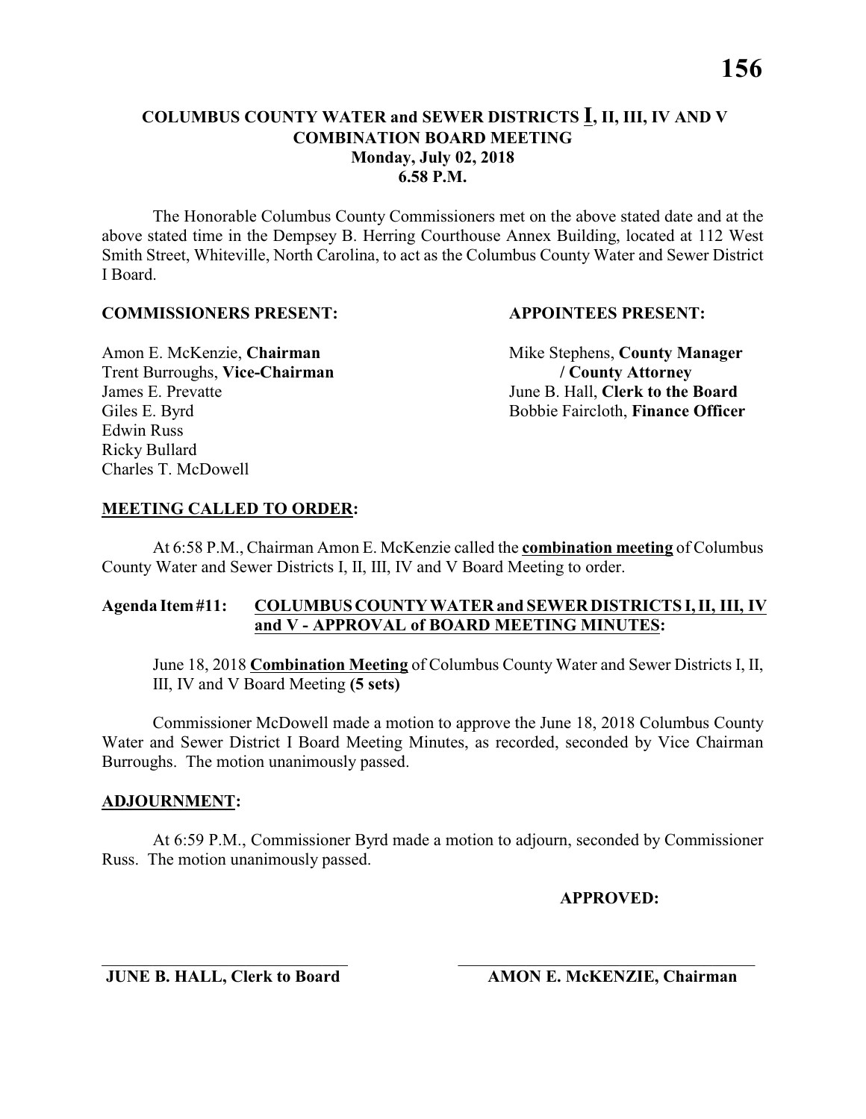The Honorable Columbus County Commissioners met on the above stated date and at the above stated time in the Dempsey B. Herring Courthouse Annex Building, located at 112 West Smith Street, Whiteville, North Carolina, to act as the Columbus County Water and Sewer District I Board.

# **COMMISSIONERS PRESENT: APPOINTEES PRESENT:**

Trent Burroughs, **Vice-Chairman / County Attorney** James E. Prevatte June B. Hall, **Clerk to the Board** Edwin Russ Ricky Bullard Charles T. McDowell

Amon E. McKenzie, **Chairman** Mike Stephens, **County Manager** Giles E. Byrd Bobbie Faircloth, **Finance Officer** 

# **MEETING CALLED TO ORDER:**

At 6:58 P.M., Chairman Amon E. McKenzie called the **combination meeting** of Columbus County Water and Sewer Districts I, II, III, IV and V Board Meeting to order.

# **Agenda Item #11: COLUMBUS COUNTY WATER and SEWER DISTRICTS I, II, III, IV and V - APPROVAL of BOARD MEETING MINUTES:**

June 18, 2018 **Combination Meeting** of Columbus County Water and Sewer Districts I, II, III, IV and V Board Meeting **(5 sets)**

Commissioner McDowell made a motion to approve the June 18, 2018 Columbus County Water and Sewer District I Board Meeting Minutes, as recorded, seconded by Vice Chairman Burroughs. The motion unanimously passed.

# **ADJOURNMENT:**

At 6:59 P.M., Commissioner Byrd made a motion to adjourn, seconded by Commissioner Russ. The motion unanimously passed.

\_\_\_\_\_\_\_\_\_\_\_\_\_\_\_\_\_\_\_\_\_\_\_\_\_\_\_\_\_ \_\_\_\_\_\_\_\_\_\_\_\_\_\_\_\_\_\_\_\_\_\_\_\_\_\_\_\_\_\_\_\_\_\_\_

# **APPROVED:**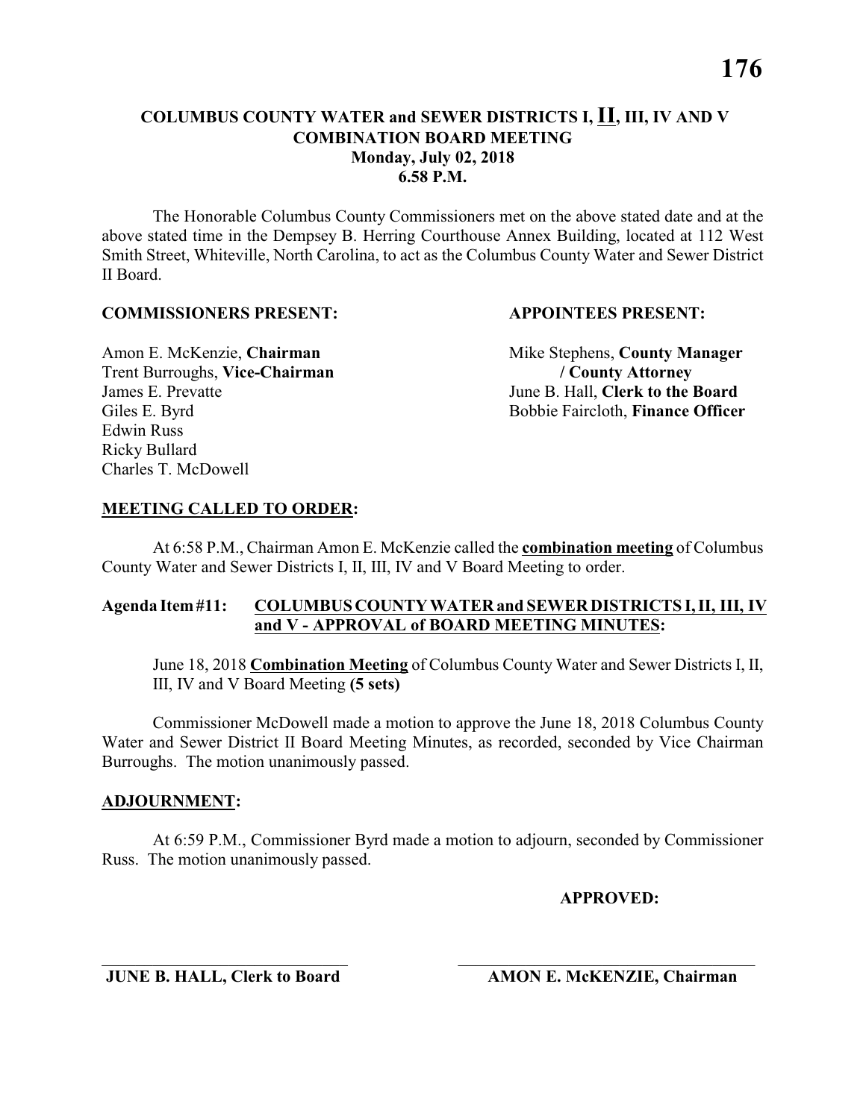The Honorable Columbus County Commissioners met on the above stated date and at the above stated time in the Dempsey B. Herring Courthouse Annex Building, located at 112 West Smith Street, Whiteville, North Carolina, to act as the Columbus County Water and Sewer District II Board.

# **COMMISSIONERS PRESENT: APPOINTEES PRESENT:**

Trent Burroughs, **Vice-Chairman / County Attorney** James E. Prevatte June B. Hall, **Clerk to the Board** Edwin Russ Ricky Bullard Charles T. McDowell

Amon E. McKenzie, **Chairman** Mike Stephens, **County Manager** Giles E. Byrd Bobbie Faircloth, **Finance Officer** 

# **MEETING CALLED TO ORDER:**

At 6:58 P.M., Chairman Amon E. McKenzie called the **combination meeting** of Columbus County Water and Sewer Districts I, II, III, IV and V Board Meeting to order.

# **Agenda Item #11: COLUMBUS COUNTY WATER and SEWER DISTRICTS I, II, III, IV and V - APPROVAL of BOARD MEETING MINUTES:**

June 18, 2018 **Combination Meeting** of Columbus County Water and Sewer Districts I, II, III, IV and V Board Meeting **(5 sets)**

Commissioner McDowell made a motion to approve the June 18, 2018 Columbus County Water and Sewer District II Board Meeting Minutes, as recorded, seconded by Vice Chairman Burroughs. The motion unanimously passed.

# **ADJOURNMENT:**

At 6:59 P.M., Commissioner Byrd made a motion to adjourn, seconded by Commissioner Russ. The motion unanimously passed.

\_\_\_\_\_\_\_\_\_\_\_\_\_\_\_\_\_\_\_\_\_\_\_\_\_\_\_\_\_ \_\_\_\_\_\_\_\_\_\_\_\_\_\_\_\_\_\_\_\_\_\_\_\_\_\_\_\_\_\_\_\_\_\_\_

# **APPROVED:**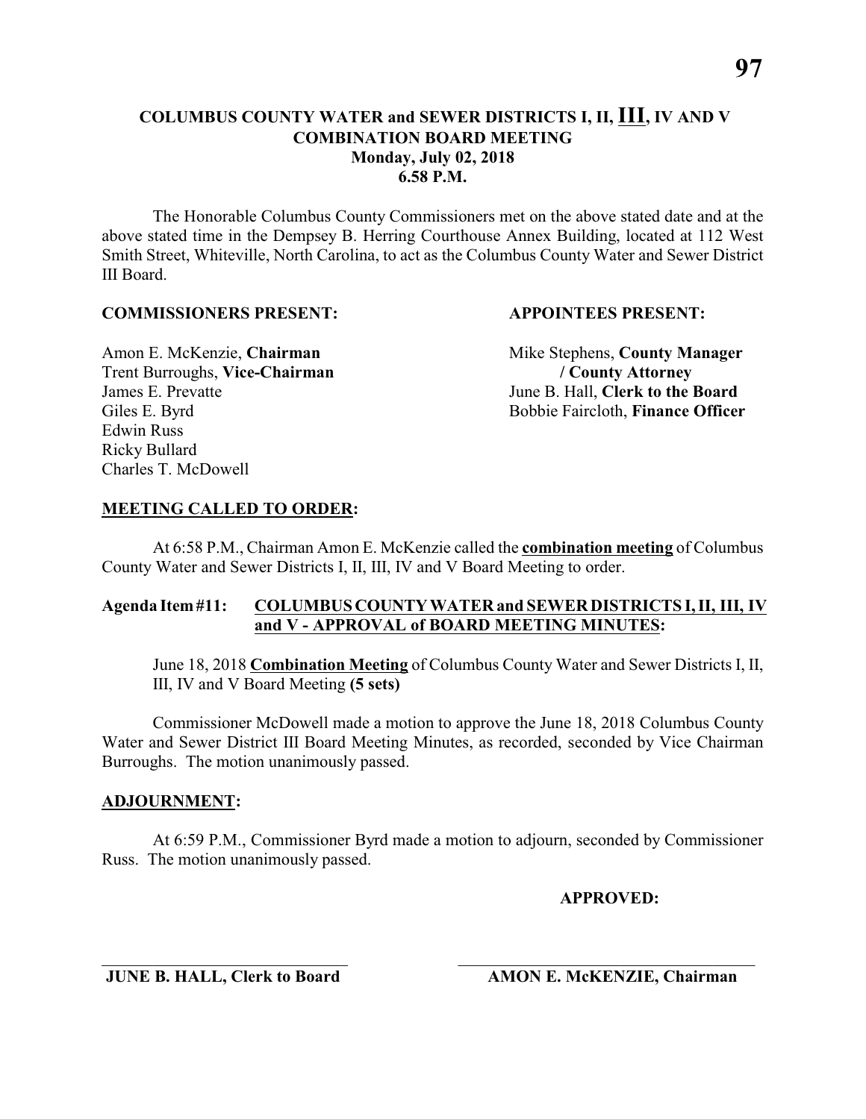The Honorable Columbus County Commissioners met on the above stated date and at the above stated time in the Dempsey B. Herring Courthouse Annex Building, located at 112 West Smith Street, Whiteville, North Carolina, to act as the Columbus County Water and Sewer District III Board.

# **COMMISSIONERS PRESENT: APPOINTEES PRESENT:**

Trent Burroughs, **Vice-Chairman / County Attorney** James E. Prevatte June B. Hall, **Clerk to the Board** Edwin Russ Ricky Bullard Charles T. McDowell

Amon E. McKenzie, **Chairman** Mike Stephens, **County Manager** Giles E. Byrd Bobbie Faircloth, **Finance Officer** 

# **MEETING CALLED TO ORDER:**

At 6:58 P.M., Chairman Amon E. McKenzie called the **combination meeting** of Columbus County Water and Sewer Districts I, II, III, IV and V Board Meeting to order.

# **Agenda Item #11: COLUMBUS COUNTY WATER and SEWER DISTRICTS I, II, III, IV and V - APPROVAL of BOARD MEETING MINUTES:**

June 18, 2018 **Combination Meeting** of Columbus County Water and Sewer Districts I, II, III, IV and V Board Meeting **(5 sets)**

Commissioner McDowell made a motion to approve the June 18, 2018 Columbus County Water and Sewer District III Board Meeting Minutes, as recorded, seconded by Vice Chairman Burroughs. The motion unanimously passed.

# **ADJOURNMENT:**

At 6:59 P.M., Commissioner Byrd made a motion to adjourn, seconded by Commissioner Russ. The motion unanimously passed.

\_\_\_\_\_\_\_\_\_\_\_\_\_\_\_\_\_\_\_\_\_\_\_\_\_\_\_\_\_ \_\_\_\_\_\_\_\_\_\_\_\_\_\_\_\_\_\_\_\_\_\_\_\_\_\_\_\_\_\_\_\_\_\_\_

# **APPROVED:**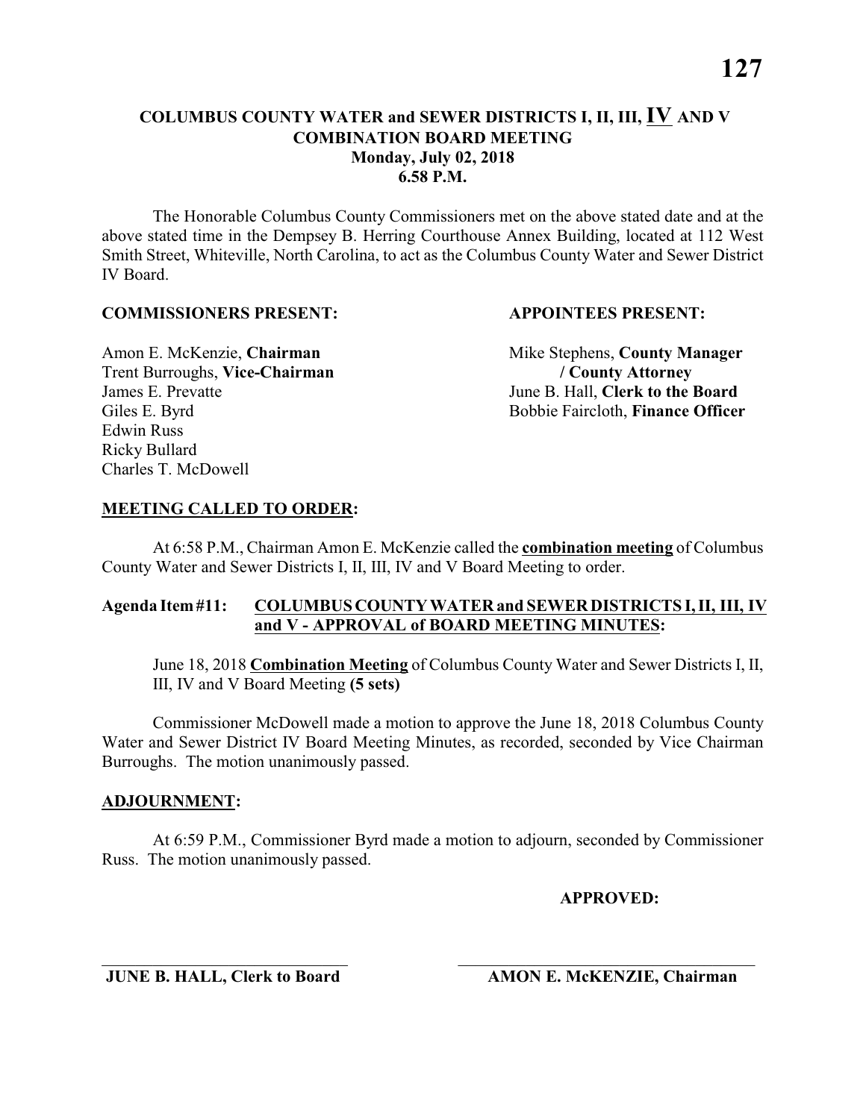The Honorable Columbus County Commissioners met on the above stated date and at the above stated time in the Dempsey B. Herring Courthouse Annex Building, located at 112 West Smith Street, Whiteville, North Carolina, to act as the Columbus County Water and Sewer District IV Board.

# **COMMISSIONERS PRESENT: APPOINTEES PRESENT:**

Trent Burroughs, **Vice-Chairman / County Attorney** James E. Prevatte June B. Hall, **Clerk to the Board** Edwin Russ Ricky Bullard Charles T. McDowell

Amon E. McKenzie, **Chairman** Mike Stephens, **County Manager** Giles E. Byrd Bobbie Faircloth, **Finance Officer** 

# **MEETING CALLED TO ORDER:**

At 6:58 P.M., Chairman Amon E. McKenzie called the **combination meeting** of Columbus County Water and Sewer Districts I, II, III, IV and V Board Meeting to order.

# **Agenda Item #11: COLUMBUS COUNTY WATER and SEWER DISTRICTS I, II, III, IV and V - APPROVAL of BOARD MEETING MINUTES:**

June 18, 2018 **Combination Meeting** of Columbus County Water and Sewer Districts I, II, III, IV and V Board Meeting **(5 sets)**

Commissioner McDowell made a motion to approve the June 18, 2018 Columbus County Water and Sewer District IV Board Meeting Minutes, as recorded, seconded by Vice Chairman Burroughs. The motion unanimously passed.

# **ADJOURNMENT:**

At 6:59 P.M., Commissioner Byrd made a motion to adjourn, seconded by Commissioner Russ. The motion unanimously passed.

\_\_\_\_\_\_\_\_\_\_\_\_\_\_\_\_\_\_\_\_\_\_\_\_\_\_\_\_\_ \_\_\_\_\_\_\_\_\_\_\_\_\_\_\_\_\_\_\_\_\_\_\_\_\_\_\_\_\_\_\_\_\_\_\_

# **APPROVED:**